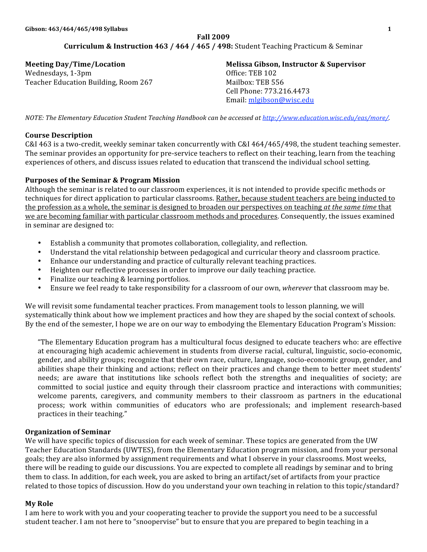# **Fall
2009** Curriculum & Instruction 463 / 464 / 465 / 498: Student Teaching Practicum & Seminar

**Meeting
Day/Time/Location** Wednesdays,
1‐3pm Teacher
Education
Building,
Room
267 **Melissa
Gibson,
Instructor
&
Supervisor** Office:
TEB
102 Mailbox:
TEB
556 Cell
Phone:
773.216.4473 Email:
mlgibson@wisc.edu

NOTE: The Elementary Education Student Teaching Handbook can be accessed at http://www.education.wisc.edu/eas/more/.

#### **Course
Description**

C&I 463 is a two-credit, weekly seminar taken concurrently with C&I 464/465/498, the student teaching semester. The seminar provides an opportunity for pre-service teachers to reflect on their teaching, learn from the teaching experiences
of
others,
and
discuss
issues
related
to
education
that
transcend
the
individual
school
setting.

#### **Purposes
of
the
Seminar
&
Program
Mission**

Although the seminar is related to our classroom experiences, it is not intended to provide specific methods or techniques for direct application to particular classrooms. Rather, because student teachers are being inducted to the profession as a whole, the seminar is designed to broaden our perspectives on teaching *at the same time* that we are becoming familiar with particular classroom methods and procedures. Consequently, the issues examined in
seminar
are
designed
to:

- Establish a community that promotes collaboration, collegiality, and reflection.
- Understand the vital relationship between pedagogical and curricular theory and classroom practice.
- Enhance our understanding and practice of culturally relevant teaching practices.
- Heighten our reflective processes in order to improve our daily teaching practice.
- Finalize our teaching & learning portfolios.
- Ensure we feel ready to take responsibility for a classroom of our own, *wherever* that classroom may be.

We will revisit some fundamental teacher practices. From management tools to lesson planning, we will systematically think about how we implement practices and how they are shaped by the social context of schools. By the end of the semester, I hope we are on our way to embodying the Elementary Education Program's Mission:

"The
Elementary
Education
program
has
a
multicultural
focus
designed
to
educate
teachers
who:
are
effective at
encouraging
high
academic
achievement
in
students
from
diverse
racial,
cultural,
linguistic,
socio‐economic, gender, and ability groups; recognize that their own race, culture, language, socio-economic group, gender, and abilities shape their thinking and actions; reflect on their practices and change them to better meet students' needs; are aware that institutions like schools reflect both the strengths and inequalities of society; are committed to social justice and equity through their classroom practice and interactions with communities; welcome parents, caregivers, and community members to their classroom as partners in the educational process; work within communities of educators who are professionals; and implement research-based practices
in
their
teaching."

#### **Organization
of
Seminar**

We will have specific topics of discussion for each week of seminar. These topics are generated from the UW Teacher Education Standards (UWTES), from the Elementary Education program mission, and from your personal goals;
they
are
also
informed
by
assignment
requirements
and
what
I
observe
in
your
classrooms.
Most
weeks, there will be reading to guide our discussions. You are expected to complete all readings by seminar and to bring them to class. In addition, for each week, you are asked to bring an artifact/set of artifacts from your practice related to those topics of discussion. How do you understand your own teaching in relation to this topic/standard?

### **My
Role**

I am here to work with you and your cooperating teacher to provide the support you need to be a successful student teacher. I am not here to "snoopervise" but to ensure that you are prepared to begin teaching in a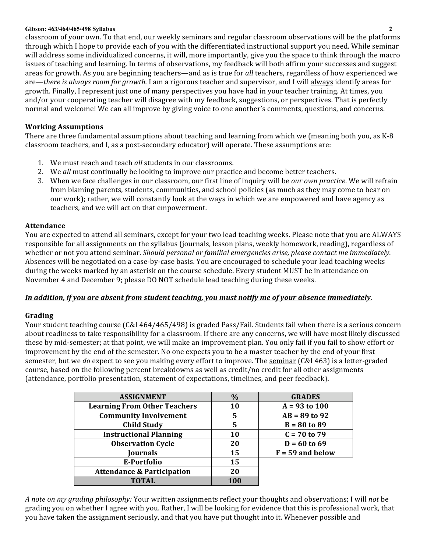classroom
of
your
own.
To
that
end,
our
weekly
seminars
and
regular
classroom
observations
will
be
the
platforms through which I hope to provide each of you with the differentiated instructional support you need. While seminar will address some individualized concerns, it will, more importantly, give you the space to think through the macro issues of teaching and learning. In terms of observations, my feedback will both affirm your successes and suggest areas for growth. As you are beginning teachers—and as is true for *all* teachers, regardless of how experienced we are—*there is always room for growth*. I am a rigorous teacher and supervisor, and I will always identify areas for growth.
Finally,
I
represent
just
one
of
many
perspectives
you
have
had
in
your
teacher
training.
At
times,
you and/or your cooperating teacher will disagree with my feedback, suggestions, or perspectives. That is perfectly normal
and
welcome!
We
can
all
improve
by
giving
voice
to
one
another's
comments,
questions,
and
concerns.

# **Working
Assumptions**

There are three fundamental assumptions about teaching and learning from which we (meaning both you, as K-8 classroom
teachers,
and
I,
as
a
post‐secondary
educator)
will
operate.
These
assumptions
are:

- 1. We
must
reach
and
teach *all* students
in
our
classrooms.
- 2. We *all* must continually be looking to improve our practice and become better teachers.
- 3. When we face challenges in our classroom, our first line of inquiry will be *our own practice*. We will refrain from blaming parents, students, communities, and school policies (as much as they may come to bear on our work); rather, we will constantly look at the ways in which we are empowered and have agency as teachers,
and
we
will
act
on
that
empowerment.

# **Attendance**

You are expected to attend all seminars, except for your two lead teaching weeks. Please note that you are ALWAYS responsible for all assignments on the syllabus (journals, lesson plans, weekly homework, reading), regardless of whether or not you attend seminar. Should personal or familial emergencies arise, please contact me immediately. Absences will be negotiated on a case-by-case basis. You are encouraged to schedule your lead teaching weeks during the weeks marked by an asterisk on the course schedule. Every student MUST be in attendance on November
4
and
December
9;
please
DO
NOT
schedule
lead
teaching
during
these
weeks.

# In addition, if you are absent from student teaching, you must notify me of your absence immediately.

# **Grading**

Your student teaching course (C&I 464/465/498) is graded Pass/Fail. Students fail when there is a serious concern about readiness to take responsibility for a classroom. If there are any concerns, we will have most likely discussed these by mid-semester; at that point, we will make an improvement plan. You only fail if you fail to show effort or improvement by the end of the semester. No one expects you to be a master teacher by the end of your first semester, but we *do* expect to see you making every effort to improve. The seminar (C&I 463) is a letter-graded course,
based
on
the
following
percent
breakdowns
as
well
as
credit/no
credit
for
all
other
assignments (attendance,
portfolio
presentation,
statement
of
expectations,
timelines,
and
peer
feedback).

| <b>ASSIGNMENT</b>                     | $\%$      | <b>GRADES</b>      |
|---------------------------------------|-----------|--------------------|
| <b>Learning From Other Teachers</b>   | <b>10</b> | $A = 93$ to 100    |
| <b>Community Involvement</b>          | 5         | $AB = 89$ to 92    |
| <b>Child Study</b>                    | 5         | $B = 80$ to 89     |
| <b>Instructional Planning</b>         | <b>10</b> | $C = 70$ to 79     |
| <b>Observation Cycle</b>              | 20        | $D = 60$ to 69     |
| <b>Journals</b>                       | 15        | $F = 59$ and below |
| E-Portfolio                           | 15        |                    |
| <b>Attendance &amp; Participation</b> | 20        |                    |
| <b>TOTAL</b>                          | 100       |                    |

A note on my grading philosophy: Your written assignments reflect your thoughts and observations; I will not be grading you on whether I agree with you. Rather, I will be looking for evidence that this is professional work, that you
have
taken
the
assignment
seriously,
and
that
you
have
put
thought
into
it.
Whenever
possible
and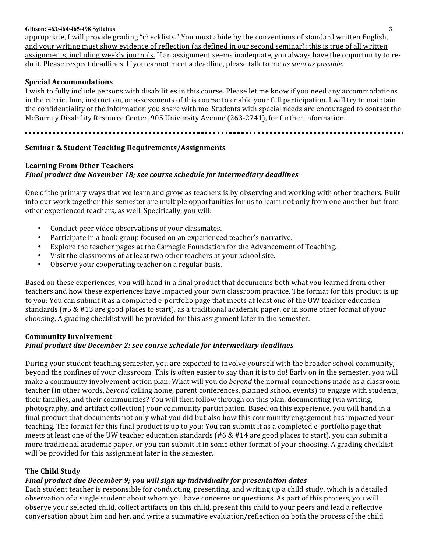appropriate, I will provide grading "checklists." You must abide by the conventions of standard written English, and your writing must show evidence of reflection (as defined in our second seminar); this is true of all written assignments,
including
weekly
journals.
If
an
assignment
seems
inadequate,
you
always
have
the
opportunity
to
re‐ do
it.
Please
respect
deadlines.
If
you
cannot
meet
a
deadline,
please
talk
to
me *as
soon
as
possible.* 

#### **Special
Accommodations**

I wish to fully include persons with disabilities in this course. Please let me know if you need any accommodations in the curriculum, instruction, or assessments of this course to enable your full participation. I will try to maintain the confidentiality of the information you share with me. Students with special needs are encouraged to contact the McBurney Disability Resource Center, 905 University Avenue (263-2741), for further information.

#### **Seminar
&
Student
Teaching
Requirements/Assignments**

# **Learning
From
Other
Teachers** *Final
product
due
November
18;
see
course
schedule
for
intermediary
deadlines*

One of the primary ways that we learn and grow as teachers is by observing and working with other teachers. Built into
our
work
together
this
semester
are
multiple
opportunities
for
us
to
learn
not
only
from
one
another
but
from other
experienced
teachers,
as
well.
Specifically,
you
will:

- Conduct peer video observations of your classmates.
- Participate in a book group focused on an experienced teacher's narrative.
- Explore the teacher pages at the Carnegie Foundation for the Advancement of Teaching.
- Visit the classrooms of at least two other teachers at your school site.
- Observe your cooperating teacher on a regular basis.

Based on these experiences, you will hand in a final product that documents both what you learned from other teachers and how these experiences have impacted your own classroom practice. The format for this product is up to you: You can submit it as a completed e-portfolio page that meets at least one of the UW teacher education standards (#5 & #13 are good places to start), as a traditional academic paper, or in some other format of your choosing.
A
grading
checklist
will
be
provided
for
this
assignment
later
in
the
semester.

# **Community
Involvement** *Final
product
due
December
2;
see
course
schedule
for
intermediary
deadlines*

During
your
student
teaching
semester,
you
are
expected
to
involve
yourself
with
the
broader
school
community, beyond the confines of your classroom. This is often easier to say than it is to do! Early on in the semester, you will make a community involvement action plan: What will you do *beyond* the normal connections made as a classroom teacher (in other words, *beyond* calling home, parent conferences, planned school events) to engage with students, their
families,
and
their
communities?
You
will
then
follow
through
on
this
plan,
documenting
(via
writing, photography,
and
artifact
collection)
your
community
participation.
Based
on
this
experience,
you
will
hand
in
a final product that documents not only what you did but also how this community engagement has impacted your teaching. The format for this final product is up to you: You can submit it as a completed e-portfolio page that meets at least one of the UW teacher education standards (#6 & #14 are good places to start), you can submit a more traditional academic paper, or you can submit it in some other format of your choosing. A grading checklist will be provided for this assignment later in the semester.

#### **The
Child
Study**

# *Final
product
due
December
9;
you
will
sign
up
individually
for
presentation
dates*

Each student teacher is responsible for conducting, presenting, and writing up a child study, which is a detailed observation
of
a
single
student
about
whom
you
have
concerns
or
questions.
As
part
of
this
process,
you
will observe
your
selected
child,
collect
artifacts
on
this
child,
present
this
child
to
your
peers
and
lead
a
reflective conversation
about
him
and
her,
and
write
a
summative
evaluation/reflection
on
both
the
process
of
the
child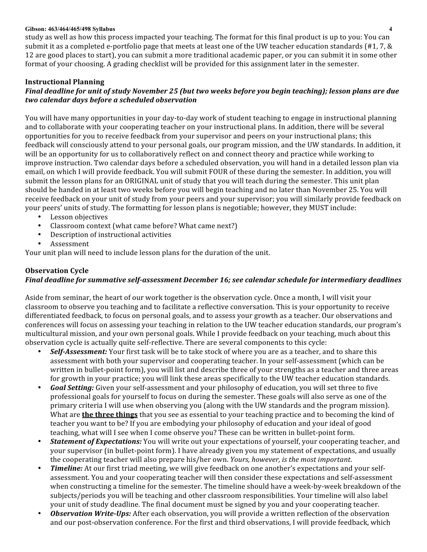study as well as how this process impacted your teaching. The format for this final product is up to you: You can submit it as a completed e-portfolio page that meets at least one of the UW teacher education standards (#1, 7, & 12
are
good
places
to
start),
you
can
submit
a
more
traditional
academic
paper,
or
you
can
submit
it
in
some
other format of your choosing. A grading checklist will be provided for this assignment later in the semester.

# **Instructional
Planning**

# *Final
deadline
for
unit
of
study
November
25
(but
two
weeks
before
you
begin
teaching);
lesson
plans
are
due two
calendar
days
before
a
scheduled
observation*

You will have many opportunities in your day-to-day work of student teaching to engage in instructional planning and to collaborate with your cooperating teacher on your instructional plans. In addition, there will be several opportunities
for
you
to
receive
feedback
from
your
supervisor
and
peers
on
your
instructional
plans;
this feedback will consciously attend to your personal goals, our program mission, and the UW standards. In addition, it will be an opportunity for us to collaboratively reflect on and connect theory and practice while working to improve instruction. Two calendar days before a scheduled observation, you will hand in a detailed lesson plan via email, on which I will provide feedback. You will submit FOUR of these during the semester. In addition, you will submit the lesson plans for an ORIGINAL unit of study that you will teach during the semester. This unit plan should be handed in at least two weeks before you will begin teaching and no later than November 25. You will receive feedback on your unit of study from your peers and your supervisor; you will similarly provide feedback on vour peers' units of study. The formatting for lesson plans is negotiable; however, they MUST include:

- Lesson objectives
- Classroom context (what came before? What came next?)
- Description
of
instructional
activities
- **Assessment**

Your unit plan will need to include lesson plans for the duration of the unit.

#### **Observation
Cycle** Final deadline for summative self-assessment December 16; see calendar schedule for intermediary deadlines

Aside from seminar, the heart of our work together is the observation cycle. Once a month, I will visit your classroom to observe you teaching and to facilitate a reflective conversation. This is your opportunity to receive differentiated feedback, to focus on personal goals, and to assess your growth as a teacher. Our observations and conferences
will
focus
on
assessing
your
teaching
in
relation
to
the
UW
teacher
education
standards,
our
program's multicultural mission, and your own personal goals. While I provide feedback on your teaching, much about this observation cycle is actually quite self-reflective. There are several components to this cycle:

- Self-Assessment: Your first task will be to take stock of where you are as a teacher, and to share this assessment
with
both
your
supervisor
and
cooperating
teacher.
In
your
self‐assessment
(which
can
be written in bullet-point form), you will list and describe three of your strengths as a teacher and three areas for growth in your practice; you will link these areas specifically to the UW teacher education standards.
- Goal Setting: Given your self-assessment and your philosophy of education, you will set three to five professional goals for yourself to focus on during the semester. These goals will also serve as one of the primary criteria I will use when observing you (along with the UW standards and the program mission). What are **the three things** that you see as essential to your teaching practice and to becoming the kind of teacher
you
want
to
be?
If
you
are
embodying
your
philosophy
of
education
and
your
ideal
of
good teaching, what will I see when I come observe you? These can be written in bullet-point form.
- **Statement of Expectations:** You will write out your expectations of yourself, your cooperating teacher, and your supervisor (in bullet-point form). I have already given you my statement of expectations, and usually the
cooperating
teacher
will
also
prepare
his/her
own. *Yours,
however,
is
the
most
important*.
- **Timeline:** At our first triad meeting, we will give feedback on one another's expectations and your selfassessment.
You
and
your
cooperating
teacher
will
then
consider
these
expectations
and
self‐assessment when constructing a timeline for the semester. The timeline should have a week-by-week breakdown of the subjects/periods you will be teaching and other classroom responsibilities. Your timeline will also label your
unit
of
study
deadline.
The
final
document
must
be
signed
by
you
and
your
cooperating
teacher.
- Observation Write-Ups: After each observation, you will provide a written reflection of the observation and our post-observation conference. For the first and third observations, I will provide feedback, which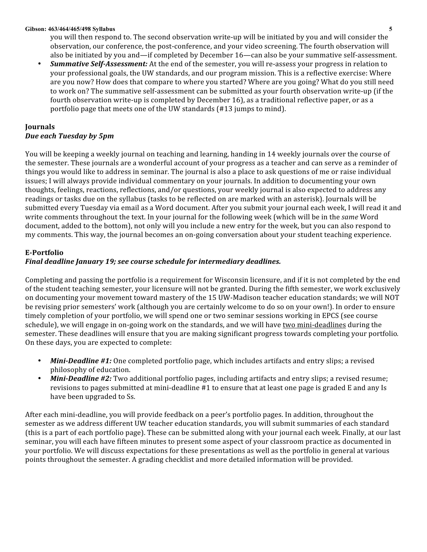you will then respond to. The second observation write-up will be initiated by you and will consider the observation, our conference, the post-conference, and your video screening. The fourth observation will also
be
initiated
by
you
and—if
completed
by
December
16—can
also
be
your
summative
self‐assessment.

• Summative Self-Assessment: At the end of the semester, you will re-assess your progress in relation to your
professional
goals,
the
UW
standards,
and
our
program
mission.
This
is
a
reflective
exercise:
Where are
you
now?
How
does
that
compare
to
where
you
started?
Where
are
you
going?
What
do
you
still
need to work on? The summative self-assessment can be submitted as your fourth observation write-up (if the fourth observation write-up is completed by December 16), as a traditional reflective paper, or as a portfolio
page
that
meets
one
of
the
UW
standards
(#13
jumps
to
mind).

# **Journals** *Due
each
Tuesday
by
5pm*

You will be keeping a weekly journal on teaching and learning, handing in 14 weekly journals over the course of the semester. These journals are a wonderful account of your progress as a teacher and can serve as a reminder of things you would like to address in seminar. The journal is also a place to ask questions of me or raise individual issues; I will always provide individual commentary on your journals. In addition to documenting your own thoughts, feelings, reactions, reflections, and/or questions, your weekly journal is also expected to address any readings or tasks due on the syllabus (tasks to be reflected on are marked with an asterisk). Journals will be submitted every Tuesday via email as a Word document. After you submit your journal each week, I will read it and write comments throughout the text. In your journal for the following week (which will be in the *same* Word document, added to the bottom), not only will you include a new entry for the week, but you can also respond to my comments. This way, the journal becomes an on-going conversation about your student teaching experience.

# **EPortfolio**

# *Final
deadline
January
19;
see
course
schedule
for
intermediary
deadlines.*

Completing and passing the portfolio is a requirement for Wisconsin licensure, and if it is not completed by the end of
the
student
teaching
semester,
your
licensure
will
not
be
granted.
During
the
fifth
semester,
we
work
exclusively on
documenting
your
movement
toward
mastery
of
the
15
UW‐Madison
teacher
education
standards;
we
will
NOT be revising prior semesters' work (although you are certainly welcome to do so on your own!). In order to ensure timely completion of your portfolio, we will spend one or two seminar sessions working in EPCS (see course schedule), we will engage in on-going work on the standards, and we will have two mini-deadlines during the semester. These deadlines will ensure that you are making significant progress towards completing your portfolio. On
these
days,
you
are
expected
to
complete:

- Mini-Deadline #1: One completed portfolio page, which includes artifacts and entry slips; a revised philosophy
of
education.
- *Mini-Deadline #2:* Two additional portfolio pages, including artifacts and entry slips; a revised resume; revisions to pages submitted at mini-deadline #1 to ensure that at least one page is graded E and any Is have
been
upgraded
to
Ss.

After each mini-deadline, you will provide feedback on a peer's portfolio pages. In addition, throughout the semester as we address different UW teacher education standards, you will submit summaries of each standard (this is a part of each portfolio page). These can be submitted along with your journal each week. Finally, at our last seminar,
you
will
each
have
fifteen
minutes
to
present
some
aspect
of
your
classroom
practice
as
documented
in your portfolio. We will discuss expectations for these presentations as well as the portfolio in general at various points
throughout
the
semester.
A
grading
checklist
and
more
detailed
information
will
be
provided.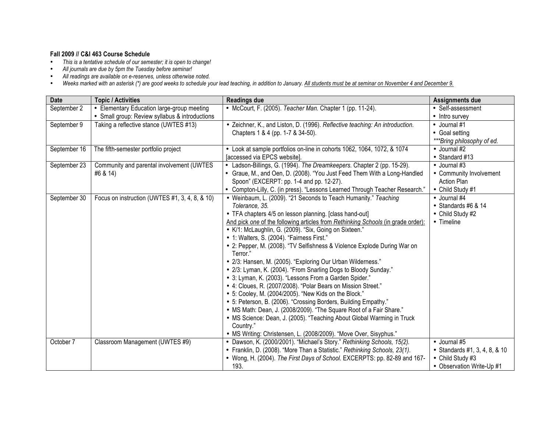# **Fall 2009 // C&I 463 Course Schedule**

- *This is a tentative schedule of our semester; it is open to change!*
- *All journals are due by 5pm the Tuesday before seminar!*
- *All readings are available on e-reserves, unless otherwise noted.*
- *Weeks marked with an asterisk (\*) are good weeks to schedule your lead teaching, in addition to January. All students must be at seminar on November 4 and December 9.*

| <b>Date</b>  | <b>Topic / Activities</b>                      | <b>Readings due</b>                                                              | Assignments due               |
|--------------|------------------------------------------------|----------------------------------------------------------------------------------|-------------------------------|
| September 2  | • Elementary Education large-group meeting     | • McCourt, F. (2005). Teacher Man. Chapter 1 (pp. 11-24).                        | • Self-assessment             |
|              | • Small group: Review syllabus & introductions |                                                                                  | • Intro survey                |
| September 9  | Taking a reflective stance (UWTES #13)         | • Zeichner, K., and Liston, D. (1996). Reflective teaching: An introduction.     | • Journal #1                  |
|              |                                                | Chapters 1 & 4 (pp. 1-7 & 34-50).                                                | • Goal setting                |
|              |                                                |                                                                                  | ***Bring philosophy of ed.    |
| September 16 | The fifth-semester portfolio project           | • Look at sample portfolios on-line in cohorts 1062, 1064, 1072, & 1074          | • Journal #2                  |
|              |                                                | [accessed via EPCS website].                                                     | • Standard #13                |
| September 23 | Community and parental involvement (UWTES      | • Ladson-Billings, G. (1994). The Dreamkeepers. Chapter 2 (pp. 15-29).           | • Journal #3                  |
|              | #6 & 14)                                       | • Graue, M., and Oen, D. (2008). "You Just Feed Them With a Long-Handled         | • Community Involvement       |
|              |                                                | Spoon" (EXCERPT: pp. 1-4 and pp. 12-27).                                         | <b>Action Plan</b>            |
|              |                                                | • Compton-Lilly, C. (in press). "Lessons Learned Through Teacher Research."      | • Child Study #1              |
| September 30 | Focus on instruction (UWTES #1, 3, 4, 8, & 10) | • Weinbaum, L. (2009). "21 Seconds to Teach Humanity." Teaching                  | • Journal #4                  |
|              |                                                | Tolerance, 35.                                                                   | • Standards #6 $& 14$         |
|              |                                                | • TFA chapters 4/5 on lesson planning. [class hand-out]                          | • Child Study #2              |
|              |                                                | And pick one of the following articles from Rethinking Schools (in grade order): | • Timeline                    |
|              |                                                | • K/1: McLaughlin, G. (2009). "Six, Going on Sixteen."                           |                               |
|              |                                                | • 1: Walters, S. (2004). "Fairness First."                                       |                               |
|              |                                                | • 2: Pepper, M. (2008). "TV Selfishness & Violence Explode During War on         |                               |
|              |                                                | Terror."                                                                         |                               |
|              |                                                | • 2/3: Hansen, M. (2005). "Exploring Our Urban Wilderness."                      |                               |
|              |                                                | • 2/3: Lyman, K. (2004). "From Snarling Dogs to Bloody Sunday."                  |                               |
|              |                                                | • 3: Lyman, K. (2003). "Lessons From a Garden Spider."                           |                               |
|              |                                                | • 4: Cloues, R. (2007/2008). "Polar Bears on Mission Street."                    |                               |
|              |                                                | • 5: Cooley, M. (2004/2005). "New Kids on the Block."                            |                               |
|              |                                                | • 5: Peterson, B. (2006). "Crossing Borders, Building Empathy."                  |                               |
|              |                                                | • MS Math: Dean, J. (2008/2009). "The Square Root of a Fair Share."              |                               |
|              |                                                | • MS Science: Dean, J. (2005). "Teaching About Global Warming in Truck           |                               |
|              |                                                | Country."                                                                        |                               |
|              |                                                | • MS Writing: Christensen, L. (2008/2009). "Move Over, Sisyphus."                |                               |
| October 7    | Classroom Management (UWTES #9)                | • Dawson, K. (2000/2001). "Michael's Story." Rethinking Schools, 15(2).          | • Journal #5                  |
|              |                                                | • Franklin, D. (2008). "More Than a Statistic." Rethinking Schools, 23(1).       | • Standards #1, 3, 4, 8, & 10 |
|              |                                                | • Wong, H. (2004). The First Days of School. EXCERPTS: pp. 82-89 and 167-        | • Child Study #3              |
|              |                                                | 193.                                                                             | • Observation Write-Up #1     |